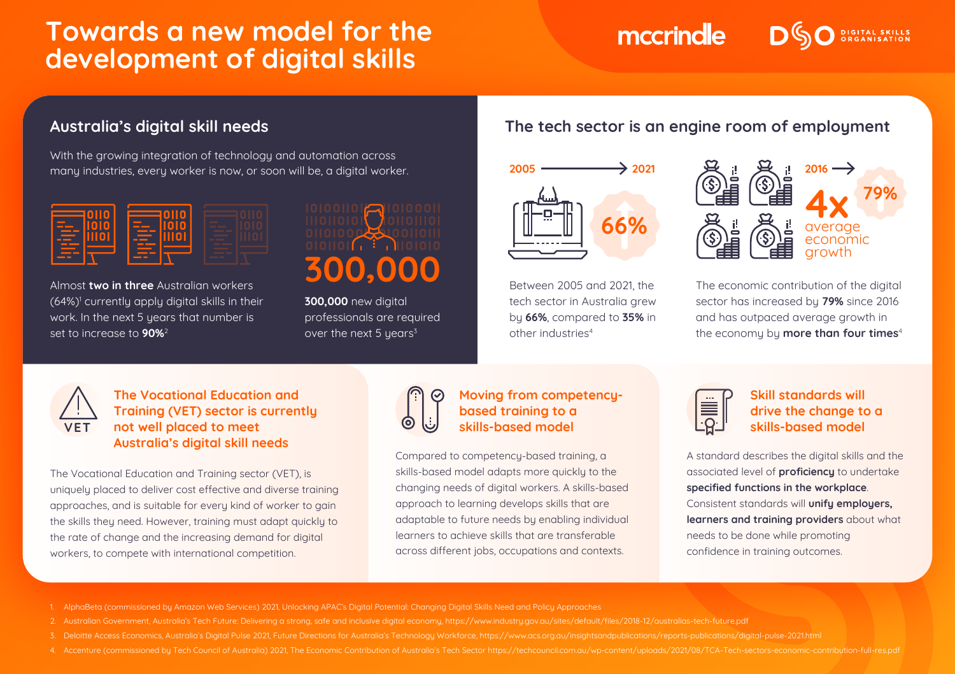# **Towards a new model for the development of digital skills**

With the growing integration of technology and automation across many industries, every worker is now, or soon will be, a digital worker.



Almost **two in three** Australian workers (64%)1 currently apply digital skills in their work. In the next 5 years that number is set to increase to **90%**<sup>2</sup>



**300,000** new digital professionals are required over the next 5 years<sup>3</sup>

## **Australia's digital skill needs The tech sector is an engine room of employment**

mccrindle



Between 2005 and 2021, the tech sector in Australia arew by **66%**, compared to **35%** in other industries4



**DIGITAL SKILLS** 

The economic contribution of the digital sector has increased by **79%** since 2016 and has outpaced average growth in the economy by **more than four times**<sup>4</sup>



### **The Vocational Education and Training (VET) sector is currently not well placed to meet Australia's digital skill needs**

The Vocational Education and Training sector (VET), is uniquely placed to deliver cost effective and diverse training approaches, and is suitable for every kind of worker to gain the skills they need. However, training must adapt quickly to the rate of change and the increasing demand for digital workers, to compete with international competition.



#### **Moving from competencybased training to a skills-based model**

Compared to competency-based training, a skills-based model adapts more quickly to the changing needs of digital workers. A skills-based approach to learning develops skills that are adaptable to future needs by enabling individual learners to achieve skills that are transferable across different jobs, occupations and contexts.



### **Skill standards will drive the change to a skills-based model**

A standard describes the digital skills and the associated level of **proficiency** to undertake **specified functions in the workplace**. Consistent standards will **unify employers, learners and training providers** about what needs to be done while promoting confidence in training outcomes.

- 1. AlphaBeta (commissioned by Amazon Web Services) 2021, Unlocking APAC's Digital Potential: Changing Digital Skills Need and Policy Approaches
- 
- 3. Deloitte Access Economics, Australia's Digital Pulse 2021, Future Directions for Australia's Technology Workforce, https://www.acs.org.au/insightsandpublications/reports-publications/digital-pulse-2021.html
-